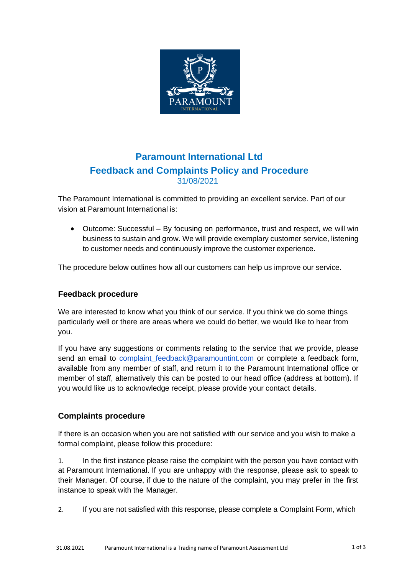

# **Paramount International Ltd Feedback and Complaints Policy and Procedure** 31/08/2021

The Paramount International is committed to providing an excellent service. Part of our vision at Paramount International is:

• Outcome: Successful – By focusing on performance, trust and respect, we will win business to sustain and grow. We will provide exemplary customer service, listening to customer needs and continuously improve the customer experience.

The procedure below outlines how all our customers can help us improve our service.

### **Feedback procedure**

We are interested to know what you think of our service. If you think we do some things particularly well or there are areas where we could do better, we would like to hear from you.

If you have any suggestions or comments relating to the service that we provide, please send an email to complaint feedback@paramountint.com or complete a feedback form, available from any member of staff, and return it to the Paramount International office or member of staff, alternatively this can be posted to our head office (address at bottom). If you would like us to acknowledge receipt, please provide your contact details.

## **Complaints procedure**

If there is an occasion when you are not satisfied with our service and you wish to make a formal complaint, please follow this procedure:

1. In the first instance please raise the complaint with the person you have contact with at Paramount International. If you are unhappy with the response, please ask to speak to their Manager. Of course, if due to the nature of the complaint, you may prefer in the first instance to speak with the Manager.

2. If you are not satisfied with this response, please complete a Complaint Form, which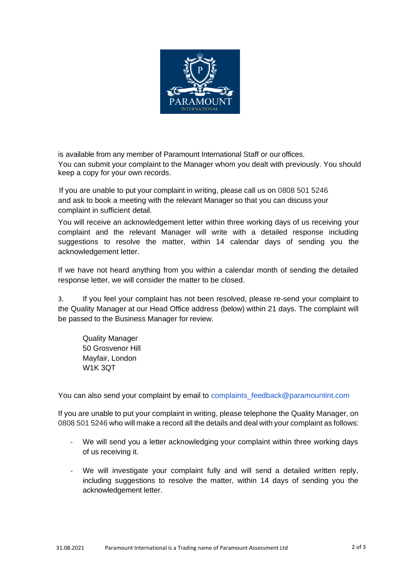

is available from any member of Paramount International Staff or our offices. You can submit your complaint to the Manager whom you dealt with previously. You should keep a copy for your own records.

 If you are unable to put your complaint in writing, please call us on 0808 501 5246 and ask to book a meeting with the relevant Manager so that you can discuss your complaint in sufficient detail.

You will receive an acknowledgement letter within three working days of us receiving your complaint and the relevant Manager will write with a detailed response including suggestions to resolve the matter, within 14 calendar days of sending you the acknowledgement letter.

If we have not heard anything from you within a calendar month of sending the detailed response letter, we will consider the matter to be closed.

3. If you feel your complaint has not been resolved, please re-send your complaint to the Quality Manager at our Head Office address (below) within 21 days. The complaint will be passed to the Business Manager for review.

Quality Manager 50 Grosvenor Hill Mayfair, London W1K 3QT

You can also send your complaint by email to complaints\_feedback@paramountint.com

If you are unable to put your complaint in writing, please telephone the Quality Manager, on 0808 501 5246 who will make a record all the details and deal with your complaint as follows:

- We will send you a letter acknowledging your complaint within three working days of us receiving it.
- We will investigate your complaint fully and will send a detailed written reply, including suggestions to resolve the matter, within 14 days of sending you the acknowledgement letter.